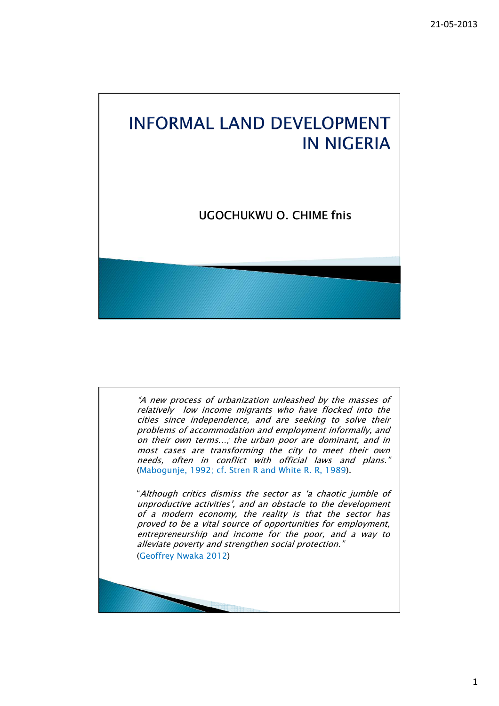## **INFORMAL LAND DEVELOPMENT IN NIGERIA** UGOCHUKWU O. CHIME fnis

"A new process of urbanization unleashed by the masses of relatively low income migrants who have flocked into the cities since independence, and are seeking to solve their problems of accommodation and employment informally, and on their own terms…; the urban poor are dominant, and in most cases are transforming the city to meet their own needs, often in conflict with official laws and plans." (Mabogunje, 1992; cf. Stren R and White R. R, 1989).

"Although critics dismiss the sector as 'a chaotic jumble of unproductive activities', and an obstacle to the development of a modern economy, the reality is that the sector has proved to be a vital source of opportunities for employment, entrepreneurship and income for the poor, and a way to alleviate poverty and strengthen social protection."

(Geoffrey Nwaka 2012)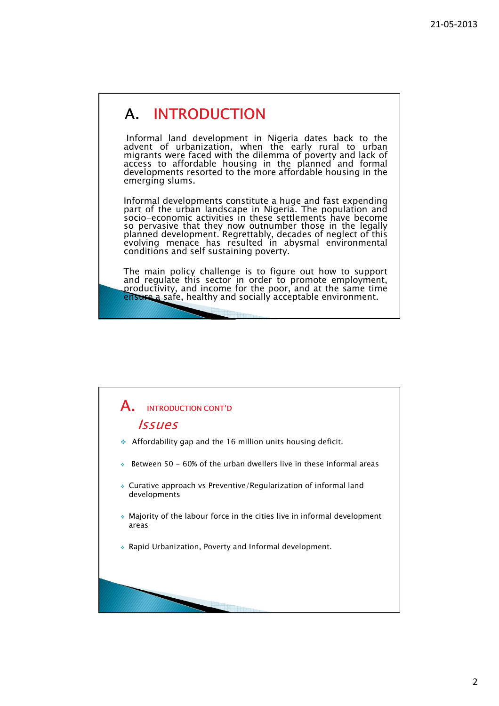## A. INTRODUCTION

Informal land development in Nigeria dates back to the advent of urbanization, when the early rural to urban migrants were faced with the dilemma of poverty and lack of access to affordable housing in the planned and formal developments resorted to the more affordable housing in the emerging slums.

Informal developments constitute a huge and fast expending part of the urban landscape in Nigeria. The population and socio-economic activities in these settlements have become so pervasive that they now outnumber those in the legally planned development. Regrettably, decades of neglect of this evolving menace has resulted in abysmal environmental conditions and self sustaining poverty.

The main policy challenge is to figure out how to support and regulate this sector in order to promote employment, productivity, and income for the poor, and at the same time ensure a safe, healthy and socially acceptable environment.

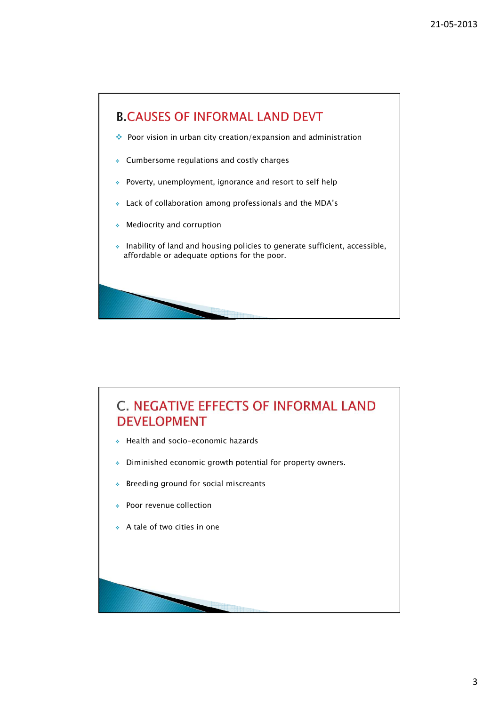